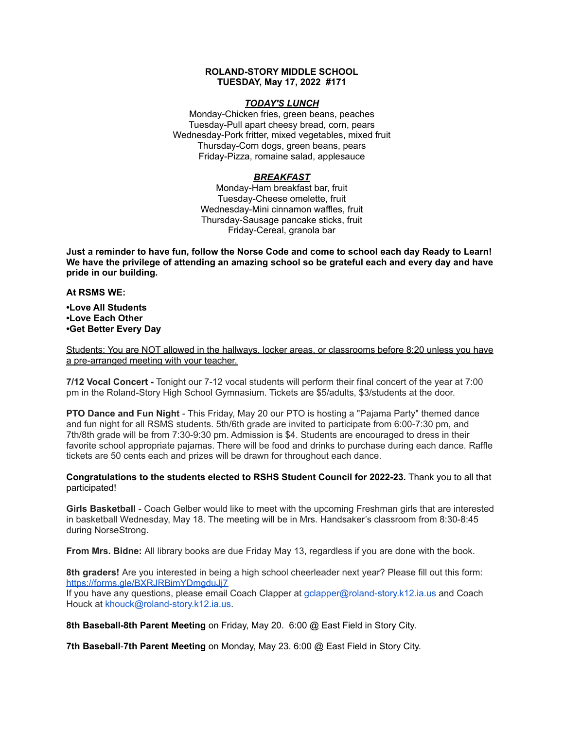# **ROLAND-STORY MIDDLE SCHOOL TUESDAY, May 17, 2022 #171**

# *TODAY'S LUNCH*

Monday-Chicken fries, green beans, peaches Tuesday-Pull apart cheesy bread, corn, pears Wednesday-Pork fritter, mixed vegetables, mixed fruit Thursday-Corn dogs, green beans, pears Friday-Pizza, romaine salad, applesauce

# *BREAKFAST*

Monday-Ham breakfast bar, fruit Tuesday-Cheese omelette, fruit Wednesday-Mini cinnamon waffles, fruit Thursday-Sausage pancake sticks, fruit Friday-Cereal, granola bar

Just a reminder to have fun, follow the Norse Code and come to school each day Ready to Learn! **We have the privilege of attending an amazing school so be grateful each and every day and have pride in our building.**

#### **At RSMS WE:**

**•Love All Students •Love Each Other •Get Better Every Day**

Students: You are NOT allowed in the hallways, locker areas, or classrooms before 8:20 unless you have a pre-arranged meeting with your teacher.

**7/12 Vocal Concert -** Tonight our 7-12 vocal students will perform their final concert of the year at 7:00 pm in the Roland-Story High School Gymnasium. Tickets are \$5/adults, \$3/students at the door.

**PTO Dance and Fun Night** - This Friday, May 20 our PTO is hosting a "Pajama Party" themed dance and fun night for all RSMS students. 5th/6th grade are invited to participate from 6:00-7:30 pm, and 7th/8th grade will be from 7:30-9:30 pm. Admission is \$4. Students are encouraged to dress in their favorite school appropriate pajamas. There will be food and drinks to purchase during each dance. Raffle tickets are 50 cents each and prizes will be drawn for throughout each dance.

**Congratulations to the students elected to RSHS Student Council for 2022-23.** Thank you to all that participated!

**Girls Basketball** - Coach Gelber would like to meet with the upcoming Freshman girls that are interested in basketball Wednesday, May 18. The meeting will be in Mrs. Handsaker's classroom from 8:30-8:45 during NorseStrong.

**From Mrs. Bidne:** All library books are due Friday May 13, regardless if you are done with the book.

**8th graders!** Are you interested in being a high school cheerleader next year? Please fill out this form[:](https://forms.gle/BXRJRBimYDmgduJj7) <https://forms.gle/BXRJRBimYDmgduJj7>

If you have any questions, please email Coach Clapper at gclapper@roland-story.k12.ia.us and Coach Houck at khouck@roland-story.k12.ia.us.

**8th Baseball-8th Parent Meeting** on Friday, May 20. 6:00 @ East Field in Story City.

**7th Baseball**-**7th Parent Meeting** on Monday, May 23. 6:00 @ East Field in Story City.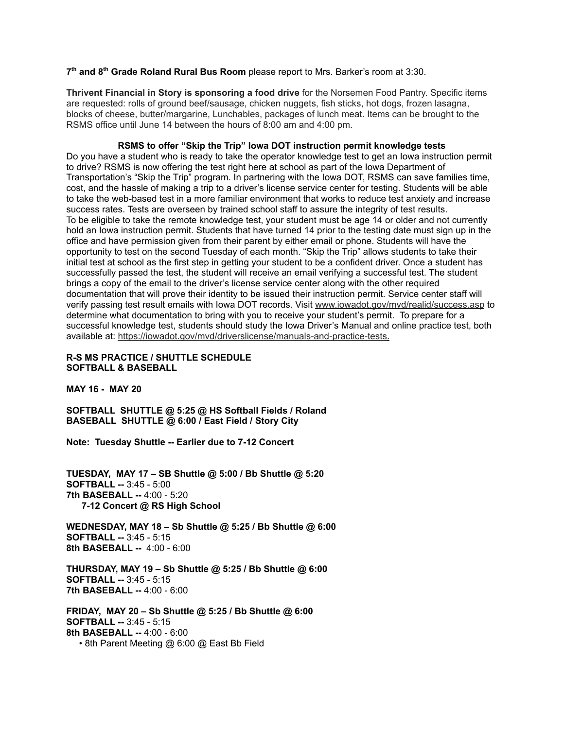**7 th and 8 th Grade Roland Rural Bus Room** please report to Mrs. Barker's room at 3:30.

**Thrivent Financial in Story is sponsoring a food drive** for the Norsemen Food Pantry. Specific items are requested: rolls of ground beef/sausage, chicken nuggets, fish sticks, hot dogs, frozen lasagna, blocks of cheese, butter/margarine, Lunchables, packages of lunch meat. Items can be brought to the RSMS office until June 14 between the hours of 8:00 am and 4:00 pm.

**RSMS to offer "Skip the Trip" Iowa DOT instruction permit knowledge tests** Do you have a student who is ready to take the operator knowledge test to get an Iowa instruction permit to drive? RSMS is now offering the test right here at school as part of the Iowa Department of Transportation's "Skip the Trip" program. In partnering with the Iowa DOT, RSMS can save families time, cost, and the hassle of making a trip to a driver's license service center for testing. Students will be able to take the web-based test in a more familiar environment that works to reduce test anxiety and increase success rates. Tests are overseen by trained school staff to assure the integrity of test results. To be eligible to take the remote knowledge test, your student must be age 14 or older and not currently hold an Iowa instruction permit. Students that have turned 14 prior to the testing date must sign up in the office and have permission given from their parent by either email or phone. Students will have the opportunity to test on the second Tuesday of each month. "Skip the Trip" allows students to take their initial test at school as the first step in getting your student to be a confident driver. Once a student has successfully passed the test, the student will receive an email verifying a successful test. The student brings a copy of the email to the driver's license service center along with the other required documentation that will prove their identity to be issued their instruction permit. Service center staff will verify passing test result emails with Iowa DOT records. Visit [www.iowadot.gov/mvd/realid/success.asp](http://www.iowadot.gov/mvd/realid/success.asp) to determine what documentation to bring with you to receive your student's permit. To prepare for a successful knowledge test, students should study the Iowa Driver's Manual and online practice test, both available at: <https://iowadot.gov/mvd/driverslicense/manuals-and-practice-tests>.

# **R-S MS PRACTICE / SHUTTLE SCHEDULE SOFTBALL & BASEBALL**

**MAY 16 - MAY 20**

**SOFTBALL SHUTTLE @ 5:25 @ HS Softball Fields / Roland BASEBALL SHUTTLE @ 6:00 / East Field / Story City**

**Note: Tuesday Shuttle -- Earlier due to 7-12 Concert**

**TUESDAY, MAY 17 – SB Shuttle @ 5:00 / Bb Shuttle @ 5:20 SOFTBALL --** 3:45 - 5:00 **7th BASEBALL --** 4:00 - 5:20 **7-12 Concert @ RS High School**

**WEDNESDAY, MAY 18 – Sb Shuttle @ 5:25 / Bb Shuttle @ 6:00 SOFTBALL --** 3:45 - 5:15 **8th BASEBALL --** 4:00 - 6:00

**THURSDAY, MAY 19 – Sb Shuttle @ 5:25 / Bb Shuttle @ 6:00 SOFTBALL --** 3:45 - 5:15 **7th BASEBALL --** 4:00 - 6:00

**FRIDAY, MAY 20 – Sb Shuttle @ 5:25 / Bb Shuttle @ 6:00 SOFTBALL --** 3:45 - 5:15 **8th BASEBALL --** 4:00 - 6:00 • 8th Parent Meeting @ 6:00 @ East Bb Field